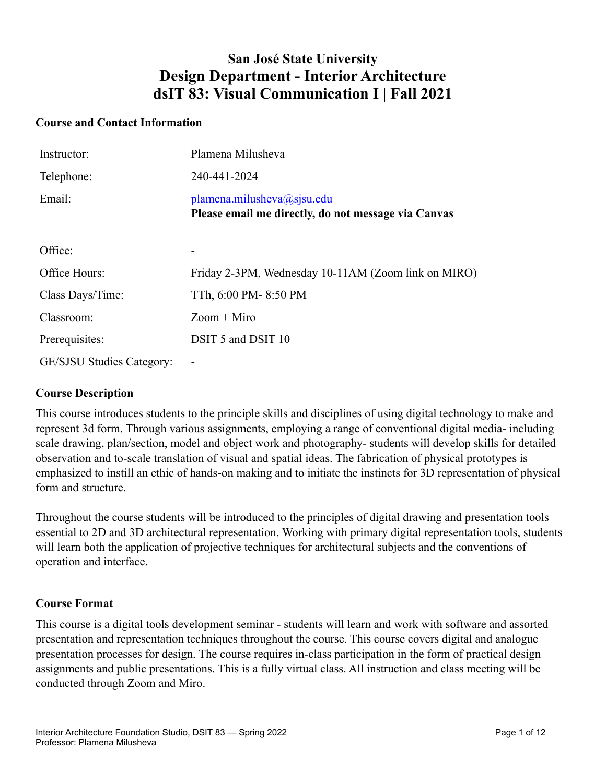# **San José State University Design Department - Interior Architecture dsIT 83: Visual Communication I | Fall 2021**

#### **Course and Contact Information**

| Instructor:                      | Plamena Milusheva                                                                 |
|----------------------------------|-----------------------------------------------------------------------------------|
| Telephone:                       | 240-441-2024                                                                      |
| Email:                           | plamena.milusheva@sjsu.edu<br>Please email me directly, do not message via Canvas |
| Office:                          | $\overline{\phantom{a}}$                                                          |
| Office Hours:                    | Friday 2-3PM, Wednesday 10-11AM (Zoom link on MIRO)                               |
| Class Days/Time:                 | TTh, 6:00 PM-8:50 PM                                                              |
| Classroom:                       | $Zoom + Miro$                                                                     |
| Prerequisites:                   | DSIT 5 and DSIT 10                                                                |
| <b>GE/SJSU Studies Category:</b> |                                                                                   |

#### **Course Description**

This course introduces students to the principle skills and disciplines of using digital technology to make and represent 3d form. Through various assignments, employing a range of conventional digital media- including scale drawing, plan/section, model and object work and photography- students will develop skills for detailed observation and to-scale translation of visual and spatial ideas. The fabrication of physical prototypes is emphasized to instill an ethic of hands-on making and to initiate the instincts for 3D representation of physical form and structure.

Throughout the course students will be introduced to the principles of digital drawing and presentation tools essential to 2D and 3D architectural representation. Working with primary digital representation tools, students will learn both the application of projective techniques for architectural subjects and the conventions of operation and interface.

#### **Course Format**

This course is a digital tools development seminar - students will learn and work with software and assorted presentation and representation techniques throughout the course. This course covers digital and analogue presentation processes for design. The course requires in-class participation in the form of practical design assignments and public presentations. This is a fully virtual class. All instruction and class meeting will be conducted through Zoom and Miro.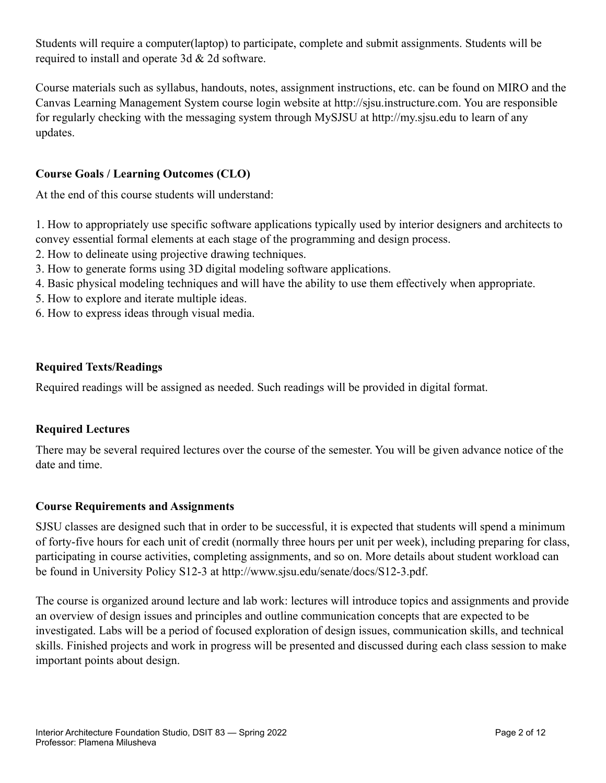Students will require a computer(laptop) to participate, complete and submit assignments. Students will be required to install and operate 3d & 2d software.

Course materials such as syllabus, handouts, notes, assignment instructions, etc. can be found on MIRO and the Canvas Learning Management System course login website at http://sjsu.instructure.com. You are responsible for regularly checking with the messaging system through MySJSU at http://my.sjsu.edu to learn of any updates.

# **Course Goals / Learning Outcomes (CLO)**

At the end of this course students will understand:

1. How to appropriately use specific software applications typically used by interior designers and architects to convey essential formal elements at each stage of the programming and design process.

- 2. How to delineate using projective drawing techniques.
- 3. How to generate forms using 3D digital modeling software applications.
- 4. Basic physical modeling techniques and will have the ability to use them effectively when appropriate.
- 5. How to explore and iterate multiple ideas.
- 6. How to express ideas through visual media.

## **Required Texts/Readings**

Required readings will be assigned as needed. Such readings will be provided in digital format.

## **Required Lectures**

There may be several required lectures over the course of the semester. You will be given advance notice of the date and time.

## **Course Requirements and Assignments**

SJSU classes are designed such that in order to be successful, it is expected that students will spend a minimum of forty-five hours for each unit of credit (normally three hours per unit per week), including preparing for class, participating in course activities, completing assignments, and so on. More details about student workload can be found in University Policy S12-3 at http://www.sjsu.edu/senate/docs/S12-3.pdf.

The course is organized around lecture and lab work: lectures will introduce topics and assignments and provide an overview of design issues and principles and outline communication concepts that are expected to be investigated. Labs will be a period of focused exploration of design issues, communication skills, and technical skills. Finished projects and work in progress will be presented and discussed during each class session to make important points about design.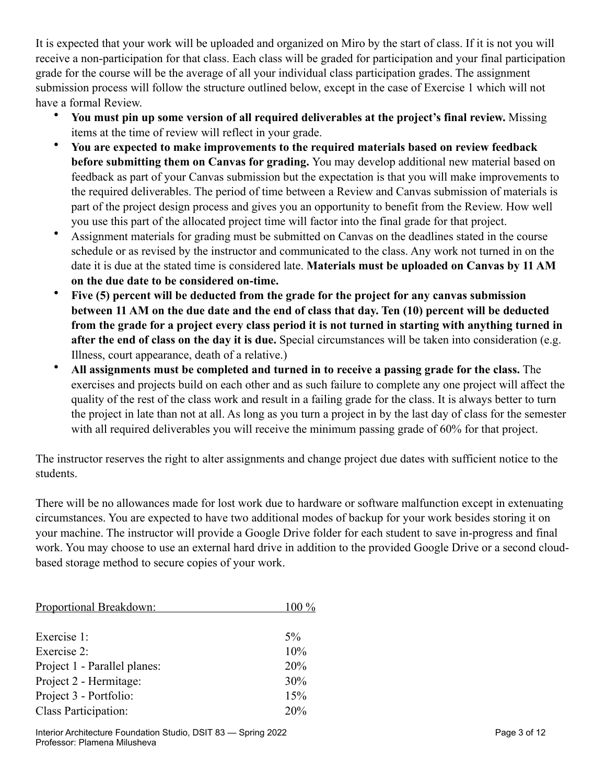It is expected that your work will be uploaded and organized on Miro by the start of class. If it is not you will receive a non-participation for that class. Each class will be graded for participation and your final participation grade for the course will be the average of all your individual class participation grades. The assignment submission process will follow the structure outlined below, except in the case of Exercise 1 which will not have a formal Review.

- **You must pin up some version of all required deliverables at the project's final review.** Missing items at the time of review will reflect in your grade.
- **You are expected to make improvements to the required materials based on review feedback before submitting them on Canvas for grading.** You may develop additional new material based on feedback as part of your Canvas submission but the expectation is that you will make improvements to the required deliverables. The period of time between a Review and Canvas submission of materials is part of the project design process and gives you an opportunity to benefit from the Review. How well you use this part of the allocated project time will factor into the final grade for that project.
- Assignment materials for grading must be submitted on Canvas on the deadlines stated in the course schedule or as revised by the instructor and communicated to the class. Any work not turned in on the date it is due at the stated time is considered late. **Materials must be uploaded on Canvas by 11 AM on the due date to be considered on-time.**
- **Five (5) percent will be deducted from the grade for the project for any canvas submission between 11 AM on the due date and the end of class that day. Ten (10) percent will be deducted from the grade for a project every class period it is not turned in starting with anything turned in after the end of class on the day it is due.** Special circumstances will be taken into consideration (e.g. Illness, court appearance, death of a relative.)
- **All assignments must be completed and turned in to receive a passing grade for the class.** The exercises and projects build on each other and as such failure to complete any one project will affect the quality of the rest of the class work and result in a failing grade for the class. It is always better to turn the project in late than not at all. As long as you turn a project in by the last day of class for the semester with all required deliverables you will receive the minimum passing grade of 60% for that project.

The instructor reserves the right to alter assignments and change project due dates with sufficient notice to the students.

There will be no allowances made for lost work due to hardware or software malfunction except in extenuating circumstances. You are expected to have two additional modes of backup for your work besides storing it on your machine. The instructor will provide a Google Drive folder for each student to save in-progress and final work. You may choose to use an external hard drive in addition to the provided Google Drive or a second cloudbased storage method to secure copies of your work.

| Proportional Breakdown:      | $100\%$ |
|------------------------------|---------|
|                              |         |
| Exercise 1:                  | $5\%$   |
| Exercise 2:                  | 10%     |
| Project 1 - Parallel planes: | 20%     |
| Project 2 - Hermitage:       | 30%     |
| Project 3 - Portfolio:       | 15%     |
| Class Participation:         | 20%     |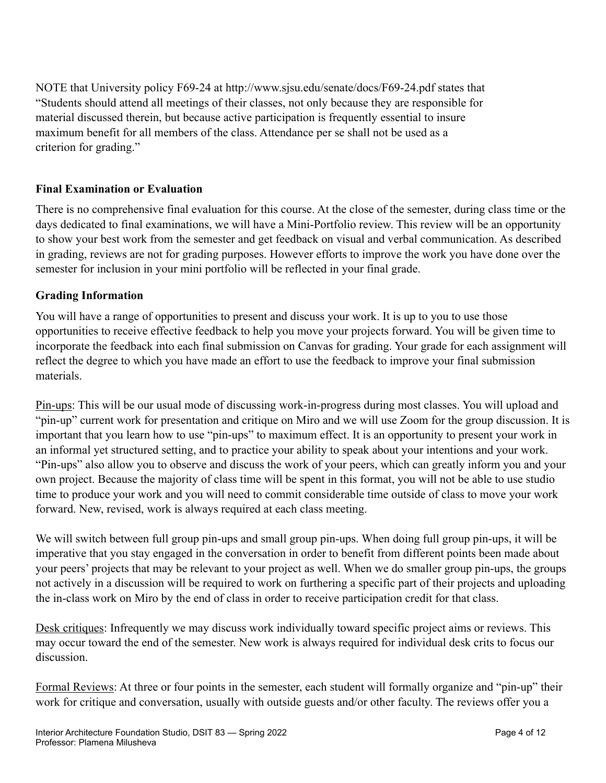NOTE that University policy F69-24 at http://www.sjsu.edu/senate/docs/F69-24.pdf states that "Students should attend all meetings of their classes, not only because they are responsible for material discussed therein, but because active participation is frequently essential to insure maximum benefit for all members of the class. Attendance per se shall not be used as a criterion for grading."

# **Final Examination or Evaluation**

There is no comprehensive final evaluation for this course. At the close of the semester, during class time or the days dedicated to final examinations, we will have a Mini-Portfolio review. This review will be an opportunity to show your best work from the semester and get feedback on visual and verbal communication. As described in grading, reviews are not for grading purposes. However efforts to improve the work you have done over the semester for inclusion in your mini portfolio will be reflected in your final grade.

## **Grading Information**

You will have a range of opportunities to present and discuss your work. It is up to you to use those opportunities to receive effective feedback to help you move your projects forward. You will be given time to incorporate the feedback into each final submission on Canvas for grading. Your grade for each assignment will reflect the degree to which you have made an effort to use the feedback to improve your final submission materials.

Pin-ups: This will be our usual mode of discussing work-in-progress during most classes. You will upload and "pin-up" current work for presentation and critique on Miro and we will use Zoom for the group discussion. It is important that you learn how to use "pin-ups" to maximum effect. It is an opportunity to present your work in an informal yet structured setting, and to practice your ability to speak about your intentions and your work. "Pin-ups" also allow you to observe and discuss the work of your peers, which can greatly inform you and your own project. Because the majority of class time will be spent in this format, you will not be able to use studio time to produce your work and you will need to commit considerable time outside of class to move your work forward. New, revised, work is always required at each class meeting.

We will switch between full group pin-ups and small group pin-ups. When doing full group pin-ups, it will be imperative that you stay engaged in the conversation in order to benefit from different points been made about your peers' projects that may be relevant to your project as well. When we do smaller group pin-ups, the groups not actively in a discussion will be required to work on furthering a specific part of their projects and uploading the in-class work on Miro by the end of class in order to receive participation credit for that class.

Desk critiques: Infrequently we may discuss work individually toward specific project aims or reviews. This may occur toward the end of the semester. New work is always required for individual desk crits to focus our discussion.

Formal Reviews: At three or four points in the semester, each student will formally organize and "pin-up" their work for critique and conversation, usually with outside guests and/or other faculty. The reviews offer you a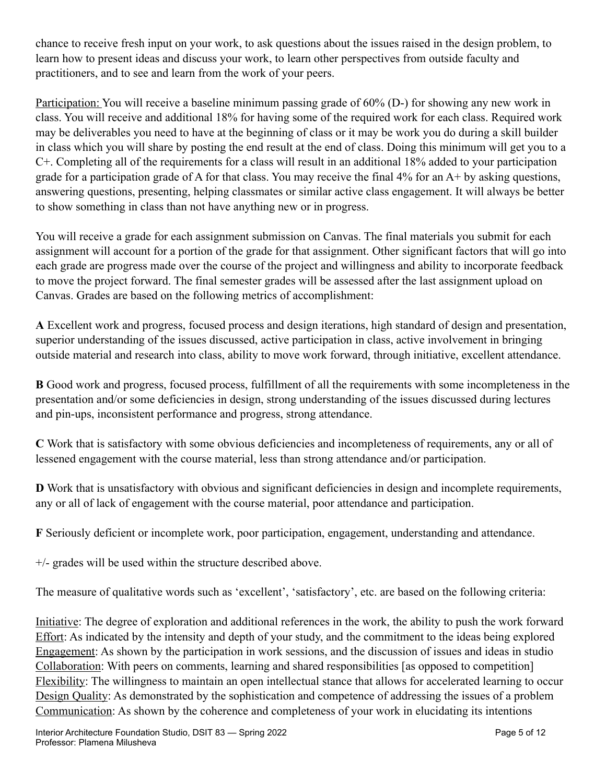chance to receive fresh input on your work, to ask questions about the issues raised in the design problem, to learn how to present ideas and discuss your work, to learn other perspectives from outside faculty and practitioners, and to see and learn from the work of your peers.

Participation: You will receive a baseline minimum passing grade of 60% (D-) for showing any new work in class. You will receive and additional 18% for having some of the required work for each class. Required work may be deliverables you need to have at the beginning of class or it may be work you do during a skill builder in class which you will share by posting the end result at the end of class. Doing this minimum will get you to a C+. Completing all of the requirements for a class will result in an additional 18% added to your participation grade for a participation grade of A for that class. You may receive the final 4% for an A+ by asking questions, answering questions, presenting, helping classmates or similar active class engagement. It will always be better to show something in class than not have anything new or in progress.

You will receive a grade for each assignment submission on Canvas. The final materials you submit for each assignment will account for a portion of the grade for that assignment. Other significant factors that will go into each grade are progress made over the course of the project and willingness and ability to incorporate feedback to move the project forward. The final semester grades will be assessed after the last assignment upload on Canvas. Grades are based on the following metrics of accomplishment:

**A** Excellent work and progress, focused process and design iterations, high standard of design and presentation, superior understanding of the issues discussed, active participation in class, active involvement in bringing outside material and research into class, ability to move work forward, through initiative, excellent attendance.

**B** Good work and progress, focused process, fulfillment of all the requirements with some incompleteness in the presentation and/or some deficiencies in design, strong understanding of the issues discussed during lectures and pin-ups, inconsistent performance and progress, strong attendance.

**C** Work that is satisfactory with some obvious deficiencies and incompleteness of requirements, any or all of lessened engagement with the course material, less than strong attendance and/or participation.

**D** Work that is unsatisfactory with obvious and significant deficiencies in design and incomplete requirements, any or all of lack of engagement with the course material, poor attendance and participation.

**F** Seriously deficient or incomplete work, poor participation, engagement, understanding and attendance.

+/- grades will be used within the structure described above.

The measure of qualitative words such as 'excellent', 'satisfactory', etc. are based on the following criteria:

Initiative: The degree of exploration and additional references in the work, the ability to push the work forward Effort: As indicated by the intensity and depth of your study, and the commitment to the ideas being explored Engagement: As shown by the participation in work sessions, and the discussion of issues and ideas in studio Collaboration: With peers on comments, learning and shared responsibilities [as opposed to competition] Flexibility: The willingness to maintain an open intellectual stance that allows for accelerated learning to occur Design Quality: As demonstrated by the sophistication and competence of addressing the issues of a problem Communication: As shown by the coherence and completeness of your work in elucidating its intentions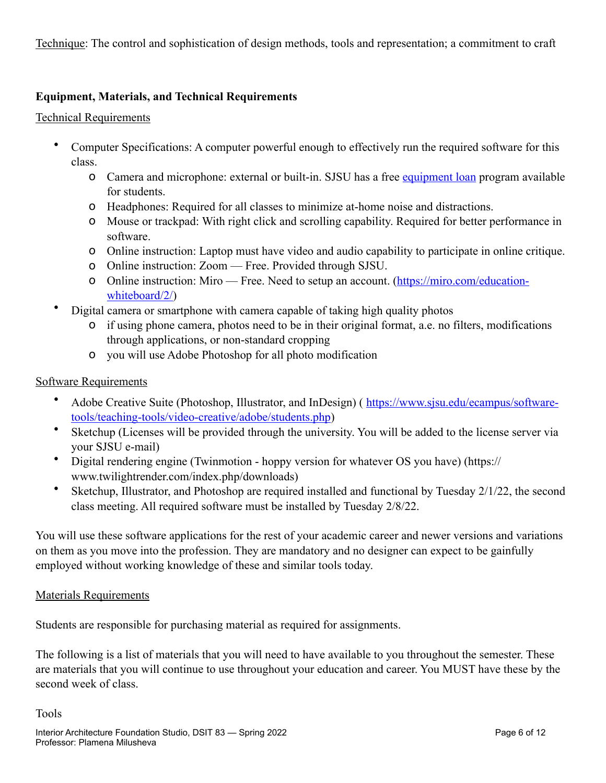Technique: The control and sophistication of design methods, tools and representation; a commitment to craft

# **Equipment, Materials, and Technical Requirements**

#### Technical Requirements

- Computer Specifications: A computer powerful enough to effectively run the required software for this class.
	- o Camera and microphone: external or built-in. SJSU has a free [equipment loan](https://www.sjsu.edu/learnanywhere/equipment/index.php) program available for students.
	- o Headphones: Required for all classes to minimize at-home noise and distractions.
	- o Mouse or trackpad: With right click and scrolling capability. Required for better performance in software.
	- o Online instruction: Laptop must have video and audio capability to participate in online critique.
	- o Online instruction: Zoom Free. Provided through SJSU.
	- o Online instruction: Miro Free. Need to setup an account. [\(https://miro.com/education](https://miro.com/education-whiteboard/2/)[whiteboard/2/\)](https://miro.com/education-whiteboard/2/)
- Digital camera or smartphone with camera capable of taking high quality photos
	- o if using phone camera, photos need to be in their original format, a.e. no filters, modifications through applications, or non-standard cropping
	- o you will use Adobe Photoshop for all photo modification

## Software Requirements

- Adobe Creative Suite (Photoshop, Illustrator, and InDesign) ( [https://www.sjsu.edu/ecampus/software](https://www.sjsu.edu/ecampus/software-tools/teaching-tools/video-creative/adobe/students.php)[tools/teaching-tools/video-creative/adobe/students.php](https://www.sjsu.edu/ecampus/software-tools/teaching-tools/video-creative/adobe/students.php))
- Sketchup (Licenses will be provided through the university. You will be added to the license server via your SJSU e-mail)
- Digital rendering engine (Twinmotion hoppy version for whatever OS you have) (https:// www.twilightrender.com/index.php/downloads)
- Sketchup, Illustrator, and Photoshop are required installed and functional by Tuesday 2/1/22, the second class meeting. All required software must be installed by Tuesday 2/8/22.

You will use these software applications for the rest of your academic career and newer versions and variations on them as you move into the profession. They are mandatory and no designer can expect to be gainfully employed without working knowledge of these and similar tools today.

#### Materials Requirements

Students are responsible for purchasing material as required for assignments.

The following is a list of materials that you will need to have available to you throughout the semester. These are materials that you will continue to use throughout your education and career. You MUST have these by the second week of class.

Tools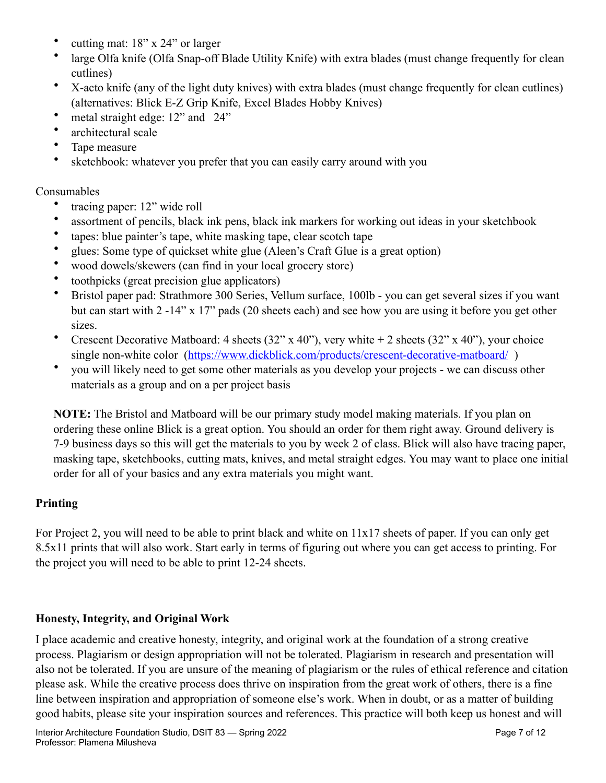- cutting mat: 18" x 24" or larger
- large Olfa knife (Olfa Snap-off Blade Utility Knife) with extra blades (must change frequently for clean cutlines)
- X-acto knife (any of the light duty knives) with extra blades (must change frequently for clean cutlines) (alternatives: Blick E-Z Grip Knife, Excel Blades Hobby Knives)
- metal straight edge: 12" and 24"
- architectural scale
- Tape measure
- sketchbook: whatever you prefer that you can easily carry around with you

## Consumables

- tracing paper: 12" wide roll
- assortment of pencils, black ink pens, black ink markers for working out ideas in your sketchbook
- tapes: blue painter's tape, white masking tape, clear scotch tape
- glues: Some type of quickset white glue (Aleen's Craft Glue is a great option)
- wood dowels/skewers (can find in your local grocery store)
- toothpicks (great precision glue applicators)
- Bristol paper pad: Strathmore 300 Series, Vellum surface, 100lb you can get several sizes if you want but can start with 2 -14" x 17" pads (20 sheets each) and see how you are using it before you get other sizes.
- Crescent Decorative Matboard: 4 sheets  $(32" \times 40")$ , very white  $+ 2$  sheets  $(32" \times 40")$ , your choice single non-white color (https://www.dickblick.com/products/crescent-decorative-matboard/)
- you will likely need to get some other materials as you develop your projects we can discuss other materials as a group and on a per project basis

**NOTE:** The Bristol and Matboard will be our primary study model making materials. If you plan on ordering these online Blick is a great option. You should an order for them right away. Ground delivery is 7-9 business days so this will get the materials to you by week 2 of class. Blick will also have tracing paper, masking tape, sketchbooks, cutting mats, knives, and metal straight edges. You may want to place one initial order for all of your basics and any extra materials you might want.

# **Printing**

For Project 2, you will need to be able to print black and white on 11x17 sheets of paper. If you can only get 8.5x11 prints that will also work. Start early in terms of figuring out where you can get access to printing. For the project you will need to be able to print 12-24 sheets.

## **Honesty, Integrity, and Original Work**

I place academic and creative honesty, integrity, and original work at the foundation of a strong creative process. Plagiarism or design appropriation will not be tolerated. Plagiarism in research and presentation will also not be tolerated. If you are unsure of the meaning of plagiarism or the rules of ethical reference and citation please ask. While the creative process does thrive on inspiration from the great work of others, there is a fine line between inspiration and appropriation of someone else's work. When in doubt, or as a matter of building good habits, please site your inspiration sources and references. This practice will both keep us honest and will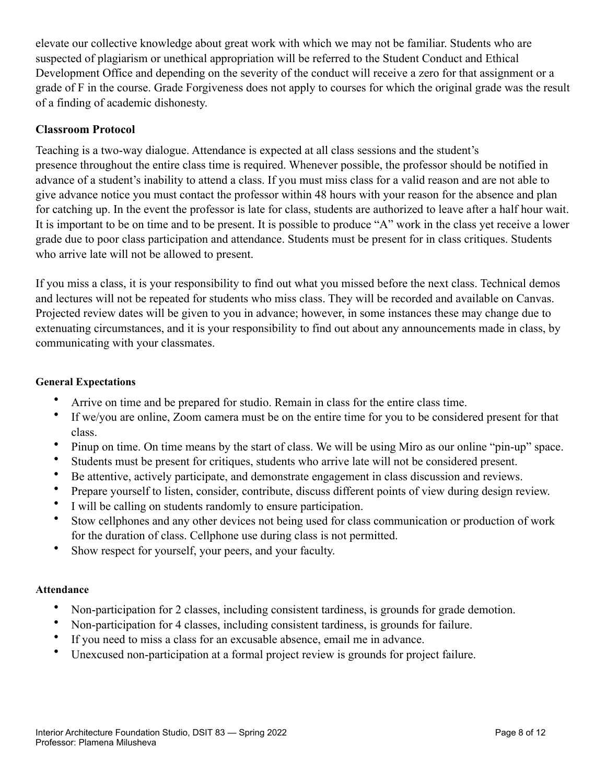elevate our collective knowledge about great work with which we may not be familiar. Students who are suspected of plagiarism or unethical appropriation will be referred to the Student Conduct and Ethical Development Office and depending on the severity of the conduct will receive a zero for that assignment or a grade of F in the course. Grade Forgiveness does not apply to courses for which the original grade was the result of a finding of academic dishonesty.

## **Classroom Protocol**

Teaching is a two-way dialogue. Attendance is expected at all class sessions and the student's presence throughout the entire class time is required. Whenever possible, the professor should be notified in advance of a student's inability to attend a class. If you must miss class for a valid reason and are not able to give advance notice you must contact the professor within 48 hours with your reason for the absence and plan for catching up. In the event the professor is late for class, students are authorized to leave after a half hour wait. It is important to be on time and to be present. It is possible to produce "A" work in the class yet receive a lower grade due to poor class participation and attendance. Students must be present for in class critiques. Students who arrive late will not be allowed to present.

If you miss a class, it is your responsibility to find out what you missed before the next class. Technical demos and lectures will not be repeated for students who miss class. They will be recorded and available on Canvas. Projected review dates will be given to you in advance; however, in some instances these may change due to extenuating circumstances, and it is your responsibility to find out about any announcements made in class, by communicating with your classmates.

#### **General Expectations**

- Arrive on time and be prepared for studio. Remain in class for the entire class time.
- If we/you are online, Zoom camera must be on the entire time for you to be considered present for that class.
- Pinup on time. On time means by the start of class. We will be using Miro as our online "pin-up" space.
- Students must be present for critiques, students who arrive late will not be considered present.
- Be attentive, actively participate, and demonstrate engagement in class discussion and reviews.
- Prepare yourself to listen, consider, contribute, discuss different points of view during design review.
- I will be calling on students randomly to ensure participation.
- Stow cellphones and any other devices not being used for class communication or production of work for the duration of class. Cellphone use during class is not permitted.
- Show respect for yourself, your peers, and your faculty.

#### **Attendance**

- Non-participation for 2 classes, including consistent tardiness, is grounds for grade demotion.
- Non-participation for 4 classes, including consistent tardiness, is grounds for failure.
- If you need to miss a class for an excusable absence, email me in advance.
- Unexcused non-participation at a formal project review is grounds for project failure.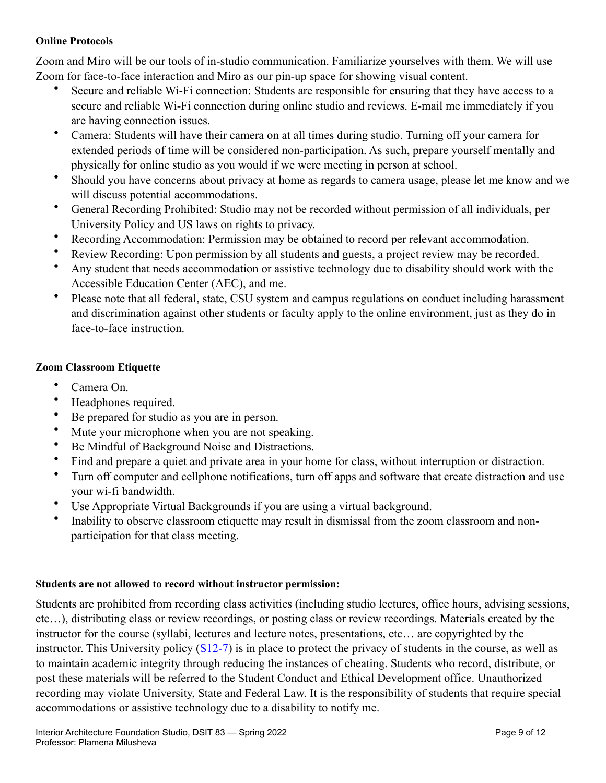#### **Online Protocols**

Zoom and Miro will be our tools of in-studio communication. Familiarize yourselves with them. We will use Zoom for face-to-face interaction and Miro as our pin-up space for showing visual content.

- Secure and reliable Wi-Fi connection: Students are responsible for ensuring that they have access to a secure and reliable Wi-Fi connection during online studio and reviews. E-mail me immediately if you are having connection issues.
- Camera: Students will have their camera on at all times during studio. Turning off your camera for extended periods of time will be considered non-participation. As such, prepare yourself mentally and physically for online studio as you would if we were meeting in person at school.
- Should you have concerns about privacy at home as regards to camera usage, please let me know and we will discuss potential accommodations.
- General Recording Prohibited: Studio may not be recorded without permission of all individuals, per University Policy and US laws on rights to privacy.
- Recording Accommodation: Permission may be obtained to record per relevant accommodation.
- Review Recording: Upon permission by all students and guests, a project review may be recorded.
- Any student that needs accommodation or assistive technology due to disability should work with the Accessible Education Center (AEC), and me.
- Please note that all federal, state, CSU system and campus regulations on conduct including harassment and discrimination against other students or faculty apply to the online environment, just as they do in face-to-face instruction.

## **Zoom Classroom Etiquette**

- Camera On.
- Headphones required.
- Be prepared for studio as you are in person.
- Mute your microphone when you are not speaking.
- Be Mindful of Background Noise and Distractions.
- Find and prepare a quiet and private area in your home for class, without interruption or distraction.
- Turn off computer and cellphone notifications, turn off apps and software that create distraction and use your wi-fi bandwidth.
- Use Appropriate Virtual Backgrounds if you are using a virtual background.
- Inability to observe classroom etiquette may result in dismissal from the zoom classroom and nonparticipation for that class meeting.

## **Students are not allowed to record without instructor permission:**

Students are prohibited from recording class activities (including studio lectures, office hours, advising sessions, etc…), distributing class or review recordings, or posting class or review recordings. Materials created by the instructor for the course (syllabi, lectures and lecture notes, presentations, etc… are copyrighted by the instructor. This University policy [\(S12-7\)](https://www.sjsu.edu/senate/docs/S12-7.pdf) is in place to protect the privacy of students in the course, as well as to maintain academic integrity through reducing the instances of cheating. Students who record, distribute, or post these materials will be referred to the Student Conduct and Ethical Development office. Unauthorized recording may violate University, State and Federal Law. It is the responsibility of students that require special accommodations or assistive technology due to a disability to notify me.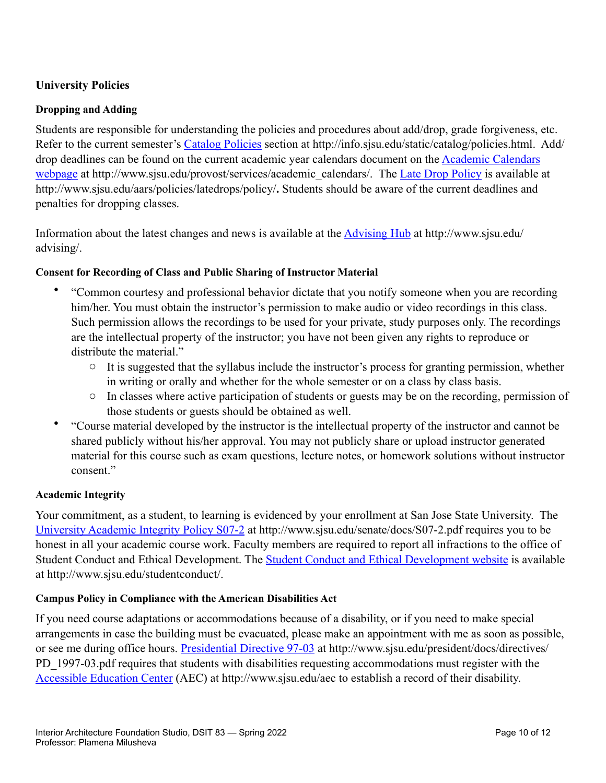# **University Policies**

#### **Dropping and Adding**

Students are responsible for understanding the policies and procedures about add/drop, grade forgiveness, etc. Refer to the current semester's [Catalog Policies](http://info.sjsu.edu/static/catalog/policies.html) section at http://info.sjsu.edu/static/catalog/policies.html. Add/ drop deadlines can be found on the current academic year calendars document on the [Academic Calendars](http://www.sjsu.edu/provost/services/academic_calendars/)  [webpage](http://www.sjsu.edu/provost/services/academic_calendars/) at http://www.sjsu.edu/provost/services/academic\_calendars/. The [Late Drop Policy](http://www.sjsu.edu/aars/policies/latedrops/policy/) is available at http://www.sjsu.edu/aars/policies/latedrops/policy/**.** Students should be aware of the current deadlines and penalties for dropping classes.

Information about the latest changes and news is available at the [Advising Hub](http://www.sjsu.edu/advising/) at http://www.sjsu.edu/ advising/.

#### **Consent for Recording of Class and Public Sharing of Instructor Material**

- "Common courtesy and professional behavior dictate that you notify someone when you are recording him/her. You must obtain the instructor's permission to make audio or video recordings in this class. Such permission allows the recordings to be used for your private, study purposes only. The recordings are the intellectual property of the instructor; you have not been given any rights to reproduce or distribute the material."
	- $\circ$  It is suggested that the syllabus include the instructor's process for granting permission, whether in writing or orally and whether for the whole semester or on a class by class basis.
	- o In classes where active participation of students or guests may be on the recording, permission of those students or guests should be obtained as well.
- "Course material developed by the instructor is the intellectual property of the instructor and cannot be shared publicly without his/her approval. You may not publicly share or upload instructor generated material for this course such as exam questions, lecture notes, or homework solutions without instructor consent."

#### **Academic Integrity**

Your commitment, as a student, to learning is evidenced by your enrollment at San Jose State University. The [University Academic Integrity Policy S07-2](http://www.sjsu.edu/senate/docs/S07-2.pdf) at http://www.sjsu.edu/senate/docs/S07-2.pdf requires you to be honest in all your academic course work. Faculty members are required to report all infractions to the office of Student Conduct and Ethical Development. The **Student Conduct and Ethical Development website** is available at http://www.sjsu.edu/studentconduct/.

#### **Campus Policy in Compliance with the American Disabilities Act**

If you need course adaptations or accommodations because of a disability, or if you need to make special arrangements in case the building must be evacuated, please make an appointment with me as soon as possible, or see me during office hours. [Presidential Directive 97-03](http://www.sjsu.edu/president/docs/directives/PD_1997-03.pdf) at http://www.sjsu.edu/president/docs/directives/ PD 1997-03.pdf requires that students with disabilities requesting accommodations must register with the [Accessible Education Center](http://www.sjsu.edu/aec) (AEC) at http://www.sjsu.edu/aec to establish a record of their disability.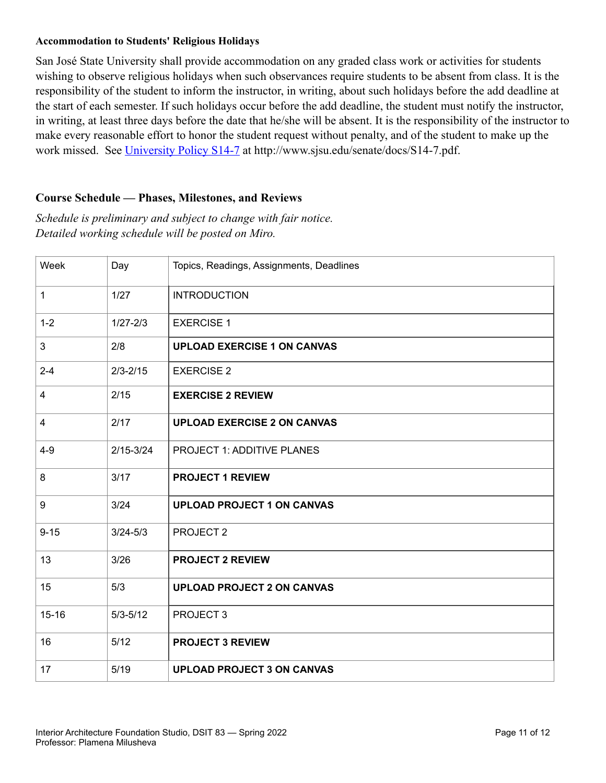#### **Accommodation to Students' Religious Holidays**

San José State University shall provide accommodation on any graded class work or activities for students wishing to observe religious holidays when such observances require students to be absent from class. It is the responsibility of the student to inform the instructor, in writing, about such holidays before the add deadline at the start of each semester. If such holidays occur before the add deadline, the student must notify the instructor, in writing, at least three days before the date that he/she will be absent. It is the responsibility of the instructor to make every reasonable effort to honor the student request without penalty, and of the student to make up the work missed. See [University Policy S14-7](http://www.sjsu.edu/senate/docs/S14-7.pdf) at http://www.sjsu.edu/senate/docs/S14-7.pdf.

## **Course Schedule — Phases, Milestones, and Reviews**

*Schedule is preliminary and subject to change with fair notice. Detailed working schedule will be posted on Miro.*

| Week                    | Day           | Topics, Readings, Assignments, Deadlines |
|-------------------------|---------------|------------------------------------------|
| $\mathbf{1}$            | 1/27          | <b>INTRODUCTION</b>                      |
| $1 - 2$                 | $1/27 - 2/3$  | <b>EXERCISE 1</b>                        |
| 3                       | 2/8           | <b>UPLOAD EXERCISE 1 ON CANVAS</b>       |
| $2 - 4$                 | $2/3 - 2/15$  | <b>EXERCISE 2</b>                        |
| $\overline{\mathbf{4}}$ | 2/15          | <b>EXERCISE 2 REVIEW</b>                 |
| $\overline{4}$          | 2/17          | <b>UPLOAD EXERCISE 2 ON CANVAS</b>       |
| $4 - 9$                 | $2/15 - 3/24$ | PROJECT 1: ADDITIVE PLANES               |
| 8                       | 3/17          | <b>PROJECT 1 REVIEW</b>                  |
| 9                       | 3/24          | <b>UPLOAD PROJECT 1 ON CANVAS</b>        |
| $9 - 15$                | $3/24 - 5/3$  | PROJECT <sub>2</sub>                     |
| 13                      | 3/26          | <b>PROJECT 2 REVIEW</b>                  |
| 15                      | 5/3           | <b>UPLOAD PROJECT 2 ON CANVAS</b>        |
| $15 - 16$               | $5/3 - 5/12$  | PROJECT <sub>3</sub>                     |
| 16                      | 5/12          | <b>PROJECT 3 REVIEW</b>                  |
| 17                      | 5/19          | <b>UPLOAD PROJECT 3 ON CANVAS</b>        |